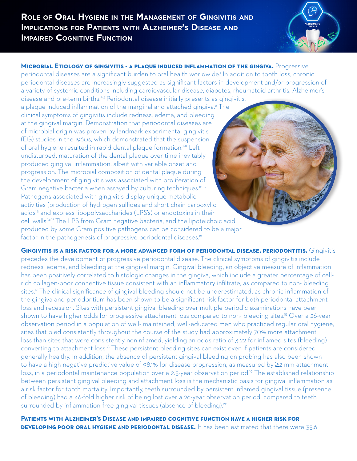

**MICROBIAL ETIOLOGY OF GINGIVITIS - A PLAQUE INDUCED INFLAMMATION OF THE GINGIVA.** Progressive periodontal diseases are a significant burden to oral health worldwide.<sup>1</sup> In addition to tooth loss, chronic periodontal diseases are increasingly suggested as significant factors in development and/or progression of a variety of systemic conditions including cardiovascular disease, diabetes, rheumatoid arthritis, Alzheimer's disease and pre-term births.<sup>2-5</sup> Periodontal disease initially presents as gingivitis,

a plaque induced inflammation of the marginal and attached gingiva.<sup>6</sup> The clinical symptoms of gingivitis include redness, edema, and bleeding at the gingival margin. Demonstration that periodontal diseases are of microbial origin was proven by landmark experimental gingivitis (EG) studies in the 1960s, which demonstrated that the suspension of oral hygiene resulted in rapid dental plaque formation.7-9 Left undisturbed, maturation of the dental plaque over time inevitably produced gingival inflammation, albeit with variable onset and progression. The microbial composition of dental plaque during the development of gingivitis was associated with proliferation of Gram negative bacteria when assayed by culturing techniques.<sup>10-12</sup> Pathogens associated with gingivitis display unique metabolic activities (production of hydrogen sulfides and short chain carboxylic acids<sup>13</sup> and express lipopolysaccharides (LPS's) or endotoxins in their cell walls.14-15 The LPS from Gram negative bacteria, and the lipoteichoic acid produced by some Gram positive pathogens can be considered to be a major factor in the pathogenesis of progressive periodontal diseases.<sup>16</sup>

**Gingivitis is a risk factor for a more advanced form of periodontal disease, periodontitis.** Gingivitis precedes the development of progressive periodontal disease. The clinical symptoms of gingivitis include redness, edema, and bleeding at the gingival margin. Gingival bleeding, an objective measure of inflammation has been positively correlated to histologic changes in the gingiva, which include a greater percentage of cellrich collagen-poor connective tissue consistent with an inflammatory infiltrate, as compared to non- bleeding sites.<sup>17</sup> The clinical significance of gingival bleeding should not be underestimated, as chronic inflammation of the gingiva and periodontium has been shown to be a significant risk factor for both periodontal attachment loss and recession. Sites with persistent gingival bleeding over multiple periodic examinations have been shown to have higher odds for progressive attachment loss compared to non- bleeding sites.<sup>18</sup> Over a 26-year observation period in a population of well- maintained, well-educated men who practiced regular oral hygiene, sites that bled consistently throughout the course of the study had approximately 70% more attachment loss than sites that were consistently noninflamed, yielding an odds ratio of 3.22 for inflamed sites (bleeding) converting to attachment loss.18 These persistent bleeding sites can exist even if patients are considered generally healthy. In addition, the absence of persistent gingival bleeding on probing has also been shown to have a high negative predictive value of 98.1% for disease progression, as measured by ≥2 mm attachment loss, in a periodontal maintenance population over a 2.5-year observation period.<sup>19</sup> The established relationship between persistent gingival bleeding and attachment loss is the mechanistic basis for gingival inflammation as a risk factor for tooth mortality. Importantly, teeth surrounded by persistent inflamed gingival tissue (presence of bleeding) had a 46-fold higher risk of being lost over a 26-year observation period, compared to teeth surrounded by inflammation-free gingival tissues (absence of bleeding).<sup>20</sup>

**Patients with Alzheimer's Disease and impaired cognitive function have a higher risk for DEVELOPING POOR ORAL HYGIENE AND PERIODONTAL DISEASE.** It has been estimated that there were 35.6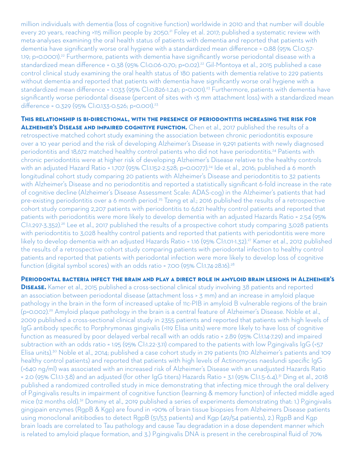million individuals with dementia (loss of cognitive function) worldwide in 2010 and that number will double every 20 years, reaching >115 million people by 2050.21 Foley et al. 2017; published a systematic review with meta-analyses examining the oral health status of patients with dementia and reported that patients with dementia have significantly worse oral hygiene with a standardized mean difference = 0.88 (95% CI:0.57- 1.19; p<0.0001).<sup>22</sup> Furthermore, patients with dementia have significantly worse periodontal disease with a standardized mean difference = 0.38 (95% CI:0.06-0.70; p=0.02).22 Gil-Montoya et al., 2015 published a case control clinical study examining the oral health status of 180 patients with dementia relative to 229 patients without dementia and reported that patients with dementia have significantly worse oral hygiene with a standardized mean difference = 1.033 (95% CI:0.826-1.241; p<0.001).23 Furthermore, patients with dementia have significantly worse periodontal disease (percent of sites with >3 mm attachment loss) with a standardized mean difference = 0.329 (95% CI:0.133-0.526; p<0.001).<sup>23</sup>

## **This relationship is bi-directional, with the presence of periodontitis increasing the risk for Alzheimer's Disease and impaired cognitive function.** Chen et al., 2017 published the results of a

retrospective matched cohort study examining the association between chronic periodontitis exposure over a 10 year period and the risk of developing Alzheimer's Disease in 9,291 patients with newly diagnosed periodontitis and 18,672 matched healthy control patients who did not have periodontitis.<sup>24</sup> Patients with chronic periodontitis were at higher risk of developing Alzheimer's Disease relative to the healthy controls with an adjusted Hazard Ratio = 1.707 (95% Cl:1.152-2.528; p=0.0077).<sup>24</sup> Ide et al., 2016; published a 6 month longitudinal cohort study comparing 20 patients with Alzheimer's Disease and periodontitis to 32 patients with Alzheimer's Disease and no periodontitis and reported a statistically significant 6-fold increase in the rate of cognitive decline (Alzheimer's Disease Assessment Scale: ADAS-cog) in the Alzheimer's patients that had pre-existing periodontitis over a 6 month period.<sup>25</sup> Tzeng et al.; 2016 published the results of a retrospective cohort study comparing 2,207 patients with periodontitis to 6,621 healthy control patients and reported that patients with periodontitis were more likely to develop dementia with an adjusted Hazards Ratio = 2.54 (95% CI:1.297-3.352).26 Lee et al., 2017 published the results of a prospective cohort study comparing 3,028 patients with periodontitis to 3,028 healthy control patients and reported that patients with periodontitis were more likely to develop dementia with an adjusted Hazards Ratio = 1.16 (95% CI:1.01-1.32).<sup>27</sup> Kamer et al., 2012 published the results of a retrospective cohort study comparing patients with periodontal infection to healthy control patients and reported that patients with periodontal infection were more likely to develop loss of cognitive function (digital symbol scores) with an odds ratio = 7.00 (95% Cl:1.74-28.16).<sup>28</sup>

**Periodontal bacteria infect the brain and play a direct role in amyloid brain lesions in Alzheimer's DISEASE.** Kamer et al., 2015 published a cross-sectional clinical study involving 38 patients and reported an association between periodontal disease (attachment loss > 3 mm) and an increase in amyloid plaque pathology in the brain in the form of increased uptake of 11c-PIB in amyloid B vulnerable regions of the brain (p=0.002).29 Amyloid plaque pathology in the brain is a central feature of Alzheimer's Disease. Noble et al., 2009 published a cross-sectional clinical study in 2355 patients and reported that patients with high levels of IgG antibody specific to Porphrymonas gingivalis (>119 Elisa units) were more likely to have loss of cognitive function as measured by poor delayed verbal recall with an odds ratio = 2.89 (95% CI:1.14-7.29) and impaired subtraction with an odds ratio = 1.95 (95% CI:1.22-3.11) compared to the patients with low P.gingivalis IgG (<57 Elisa units).<sup>30</sup> Noble et al., 2014; published a case cohort study in 219 patients (110 Alzheimer's patients and 109 healthy control patients) and reported that patients with high levels of Actinomyces naeslundi specific IgG (>640 ng/ml) was associated with an increased risk of Alzheimer's Disease with an unadjusted Hazards Ratio = 2.0 (95% CI:1.1-3.8) and an adjusted (for other IgG titers) Hazards Ratio = 3.1 (95% CI:1.5-6.4).31 Ding et al., 2018 published a randomized controlled study in mice demonstrating that infecting mice through the oral delivery of P.gingivalis results in impairment of cognitive function (learning & memory function) of infected middle aged mice (12 months old).32 Dominy et al., 2019 published a series of experiments demonstrating that: 1.) P.gingivalis gingipain enzymes (RgpB & Kgp) are found in >90% of brain tissue biopsies from Alzheimers Disease patients using monoclonal anitibodies to detect RgpB (51/53 patients) and Kgp (49/54 patients), 2.) RgpB and Kgp brain loads are correlated to Tau pathology and cause Tau degradation in a dose dependent manner which is related to amyloid plaque formation, and 3.) P.gingivalis DNA is present in the cerebrospinal fluid of 70%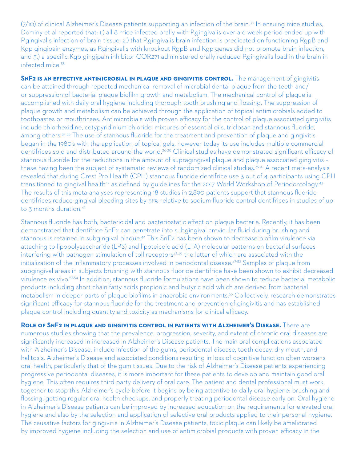(7/10) of clinical Alzheimer's Disease patients supporting an infection of the brain.<sup>33</sup> In ensuing mice studies, Dominy et al reported that: 1.) all 8 mice infected orally with P.gingivalis over a 6 week period ended up with P.gingivalis infection of brain tissue, 2.) that P.gingivalis brain infection is predicated on functioning RgpB and Kgp gingipain enzymes, as P.gingivalis with knockout RgpB and Kgp genes did not promote brain infection, and 3.) a specific Kgp gingipain inhibitor COR271 administered orally reduced P.gingivalis load in the brain in infected mice.33

**SNF2 IS AN EFFECTIVE ANTIMICROBIAL IN PLAQUE AND GINGIVITIS CONTROL.** The management of gingivitis can be attained through repeated mechanical removal of microbial dental plaque from the teeth and/ or suppression of bacterial plaque biofilm growth and metabolism. The mechanical control of plaque is accomplished with daily oral hygiene including thorough tooth brushing and flossing. The suppression of plaque growth and metabolism can be achieved through the application of topical antimicrobials added to toothpastes or mouthrinses. Antimicrobials with proven efficacy for the control of plaque associated gingivitis include chlorhexidine, cetypyridinium chloride, mixtures of essential oils, triclosan and stannous fluoride, among others.<sup>34,35</sup> The use of stannous fluoride for the treatment and prevention of plaque and gingivitis began in the 1980's with the application of topical gels, however today its use includes multiple commercial dentifrices sold and distributed around the world.<sup>36-38</sup> Clinical studies have demonstrated significant efficacy of stannous fluoride for the reductions in the amount of supragingival plaque and plaque associated gingivitis – these having been the subject of systematic reviews of randomized clinical studies.39-41 A recent meta-analysis revealed that during Crest Pro Health (CPH) stannous fluoride dentifrice use 3 out of 4 participants using CPH transitioned to gingival health<sup>42</sup> as defined by guidelines for the 2017 World Workshop of Periodontology.<sup>43</sup> The results of this meta-analyses representing 18 studies in 2,890 patients support that stannous fluoride dentifrices reduce gingival bleeding sites by 51% relative to sodium fluoride control dentifrices in studies of up to 3 months duration.<sup>42</sup>

Stannous fluoride has both, bactericidal and bacteriostatic effect on plaque bacteria. Recently, it has been demonstrated that dentifrice SnF2 can penetrate into subgingival crevicular fluid during brushing and stannous is retained in subgingival plaque.44 This SnF2 has been shown to decrease biofilm virulence via attaching to lipopolysaccharide (LPS) and lipoteicoic acid (LTA) molecular patterns on bacterial surfaces interfering with pathogen stimulation of toll receptors<sup>45,46</sup> the latter of which are associated with the initialization of the inflammatory processes involved in periodontal disease.<sup>47-52</sup> Samples of plaque from subgingival areas in subjects brushing with stannous fluoride dentifrice have been shown to exhibit decreased virulence ex vivo.53,54 In addition, stannous fluoride formulations have been shown to reduce bacterial metabolic products including short chain fatty acids propionic and butyric acid which are derived from bacterial metabolism in deeper parts of plaque biofilms in anaerobic environments.55 Collectively, research demonstrates significant efficacy for stannous fluoride for the treatment and prevention of gingivitis and has established plaque control including quantity and toxicity as mechanisms for clinical efficacy.

**Role of SnF2 in plaque and gingivitis control in patients with Alzheimer's Disease.** There are numerous studies showing that the prevalence, progression, severity, and extent of chronic oral diseases are significantly increased in increased in Alzheimer's Disease patients. The main oral complications associated with Alzheimer's Disease, include infection of the gums, periodontal disease, tooth decay, dry mouth, and halitosis. Alzheimer's Disease and associated conditions resulting in loss of cognitive function often worsens oral health, particularly that of the gum tissues. Due to the risk of Alzheimer's Disease patients experiencing progressive periodontal diseases, it is more important for these patients to develop and maintain good oral hygiene. This often requires third party delivery of oral care. The patient and dental professional must work together to stop this Alzheimer's cycle before it begins by being attentive to daily oral hygiene: brushing and flossing, getting regular oral health checkups, and properly treating periodontal disease early on. Oral hygiene in Alzheimer's Disease patients can be improved by increased education on the requirements for elevated oral hygiene and also by the selection and application of selective oral products applied to their personal hygiene. The causative factors for gingivitis in Alzheimer's Disease patients, toxic plaque can likely be ameliorated by improved hygiene including the selection and use of antimicrobial products with proven efficacy in the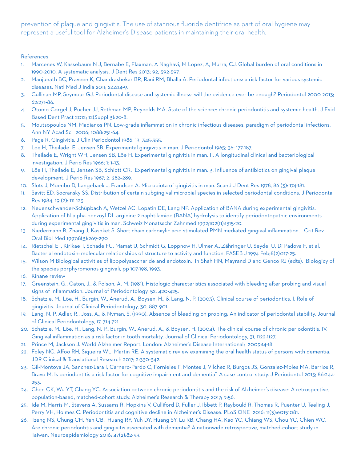prevention of plaque and gingivitis. The use of stannous fluoride dentifrice as part of oral hygiene may represent a useful tool for Alzheimer's Disease patients in maintaining their oral health.

## References

- 1. Marcenes W, Kassebaum N J, Bernabe E, Flaxman, A Naghavi, M Lopez, A, Murra, CJ. Global burden of oral conditions in 1990-2010. A systematic analysis. J Dent Res 2013; 92, 592-597.
- 2. Manjunath BC, Praveen K, Chandrashekar BR, Rani RM, Bhalla A. Periodontal infections: a risk factor for various systemic diseases. Natl Med J India 2011; 24:214-9.
- 3. Cullinan MP, Seymour GJ. Periodontal disease and systemic illness: will the evidence ever be enough? Periodontol 2000 2013; 62:271-86.
- 4. Otomo-Corgel J, Pucher JJ, Rethman MP, Reynolds MA. State of the science: chronic periodontitis and systemic health. J Evid Based Dent Pract 2012; 12(Suppl 3):20-8.
- 5. Moutsopoulos NM, Madianos PN. Low-grade inflammation in chronic infectious diseases: paradigm of periodontal infections. Ann NY Acad Sci 2006; 1088:251-64.
- 6. Page R. Gingivitis. J Clin Periodontol 1986; 13: 345-355.
- 7. Löe H, Theilade E, Jensen SB. Experimental gingivitis in man. J Periodontol 1965; 36: 177-187.
- 8. Theilade E, Wright WH, Jensen SB, Löe H. Experimental gingivitis in man. II. A longitudinal clinical and bacteriological investigation. J Perio Res 1966; 1: 1–13.
- 9. Löe H, Theilade E, Jensen SB, Schiott CR. Experimental gingivitis in man. 3. Influence of antibiotics on gingival plaque development. J Perio Res 1967; 2: 282–289.
- 10. Slots J, Moenbo D, Langebaek J, Frandsen A. Microbiota of gingivitis in man. Scand J Dent Res 1978, 86 (3): 174-181.
- 11. Savitt ED, Socransky SS. Distribution of certain subgingival microbial species in selected periodontal conditions. J Periodontal Res 1984, 19 (2): 111-123.
- 12. Neuenschwander-Schüpbach A, Wetzel AC, Lopatin DE, Lang NP. Application of BANA during experimental gingivitis. Application of N-alpha-benzoyl-DL-arginine 2 naphtilamide (BANA) hydrolysis to identify periodontopathic environments during experimental gingivitis in man. Schweiz Monatsschr Zahnmed 1992;102(11):1315-20.
- 13. Niedermann R, Zhang J, Kashket S. Short chain carboxylic acid stimulated PMN mediated gingival inflammation. Crit Rev Oral Biol Med 1997;8(3):269-290
- 14. Rietschel ET, Kirikae T, Schade FU, Mamat U, Schmidt G, Loppnow H, Ulmer AJ,Zähringer U, Seydel U, Di Padova F, et al. Bacterial endotoxin: molecular relationships of structure to activity and function. FASEB J 1994 Feb;8(2):217-25.
- 15. Wilson M Biological activities of lipopolysaccharide and endotoxin. In Shah HN, Mayrand D and Genco RJ (edts). Biologicy of the species porphyromonos gingivali, pp 107-198, 1993.
- 16. Kinane review
- 17. Greenstein, G., Caton, J., & Polson, A. M. (1981). Histologic characteristics associated with bleeding after probing and visual signs of inflammation. Journal of Periodontology, 52, 420-425.
- 18. Schatzle, M., Löe, H., Burgin, W., Anerud, A., Boysen, H., & Lang, N. P. (2003). Clinical course of periodontics. I. Role of gingivitis. Journal of Clinical Periodontology, 30, 887-901.
- 19. Lang, N. P, Adler, R., Joss, A., & Nyman, S. (1990). Absence of bleeding on probing: An indicator of periodontal stability. Journal of Clinical Periodontology, 17, 714-721.
- 20. Schatzle, M., Löe, H., Lang, N. P., Burgin, W., Anerud, A., & Boysen, H. (2004). The clinical course of chronic periodontitis. IV. Gingival inflammation as a risk factor in tooth mortality. Journal of Clinical Periodontology, 31, 1122-1127.
- 21. Prince M, Jackson J. World Alzheimer Report. London: Alzheimer's Disease International; 2009:14-18
- 22. Foley NC, Affoo RH, Siqueira WL, Martin RE. A systematic review examining the oral health status of persons with dementia. JDR Clinical & Translational Research 2017; 2:330-342.
- 23. Gil-Montoya JA, Sanchez-Lara I, Carnero-Pardo C, Fornieles F, Montes J, Vilchez R, Burgos JS, Gonzalez-Moles MA, Barrios R, Bravo M. Is periodontitis a risk factor for cognitive impairment and dementia? A case control study. J Periodontol 2015; 86:244- 253.
- 24. Chen CK, Wu YT, Chang YC. Association between chronic periodontitis and the risk of Alzheimer's disease: A retrospective, population-based, matched-cohort study. Alzheimer's Research & Therapy 2017; 9:56.
- 25. Ide M, Harris M, Stevens A, Sussams R, Hopkins V, Culliford D, Fuller J, Ibbett P, Raybould R, Thomas R, Puenter U, Teeling J, Perry VH, Holmes C. Periodontitis and cognitive decline in Alzheimer's Disease. PLoS ONE 2016; 11(3):e0151081.
- 26. Tzeng NS, Chung CH, Yeh CB, Huang RY, Yuh DY, Huang SY, Lu RB, Chang HA, Kao YC, Chiang WS, Chou YC, Chien WC. Are chronic periodontitis and gingivitis associated with dementia? A nationwide retrospective, matched-cohort study in Taiwan. Neuroepidemiology 2016; 47(2):82-93.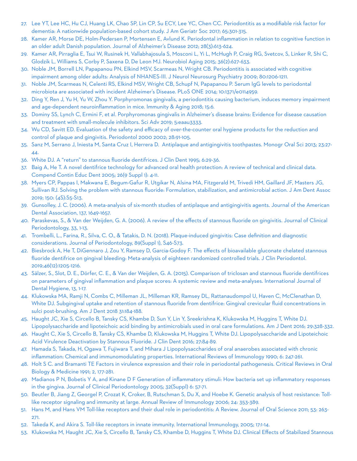- 27. Lee YT, Lee HC, Hu CJ, Huang LK, Chao SP, Lin CP, Su ECY, Lee YC, Chen CC. Periodontitis as a modifiable risk factor for dementia: A nationwide population-based cohort study. J Am Geriatr Soc 2017; 65:301-315.
- 28. Kamer AR, Morse DE, Holm-Pedersen P, Mortensen E, Avlund K. Periodontal inflammation in relation to cognitive function in an older adult Danish population. Journal of Alzheimer's Disease 2012; 28(3):613-624.
- 29. Kamer AR, Pirraglia E, Tsui W, Rusinek H, Vallabhajosula S, Mosconi L, Yi L, McHugh P, Craig RG, Svetcov, S, Linker R, Shi C, Glodzik L, Williams S, Corby P, Saxena D, De Leon MJ. Neurobiol Aging 2015; 36(2):627-633.
- 30. Noble JM, Borrell LN, Papapanou PN, Elkind MSV, Scarmeas N, Wright CB. Periodontitis is associated with cognitive impairment among older adults: Analysis of NHANES-III. J Neurol Neurosurg Psychiatry 2009; 80:1206-1211.
- 31. Noble JM, Scarmeas N, Celenti RS, Elkind MSV, Wright CB, Schupf N, Papapanou P. Serum IgG levels to periodontal microbiota are associated with incident Alzheimer's Disease. PLoS ONE 2014; 10:1371/e0114959.
- 32. Ding Y, Ren J, Yu H, Yu W, Zhou Y. Porphyromonas gingivalis, a periodontitis causing bacterium, induces memory impairment and age-dependent neuroinflammation in mice. Immunity & Aging 2018; 15:6.
- 33. Dominy SS, Lynch C, Ermini F, et al. Porphyromonas gingivalis in Alzheimer's disease brains: Evidence for disease causation and treatment with small-molecule inhibitors. Sci Adv 2019; 5:eaau3333.
- 34. Wu CD, Savitt ED. Evaluation of the safety and efficacy of over-the-counter oral hygiene products for the reduction and control of plaque and gingivitis. Periodontol 2000 2002; 28:91-105.
- 35. Sanz M, Serrano J, Iniesta M, Santa Cruz I, Herrera D. Antiplaque and antigingivitis toothpastes. Monogr Oral Sci 2013; 23:27- 44.
- 36. White DJ. A "return" to stannous fluoride dentifrices. J Clin Dent 1995; 6:29-36.
- 37. Baig A, He T. A novel dentifrice technology for advanced oral health protection: A review of technical and clinical data. Compend Contin Educ Dent 2005; 26(9 Suppl 1): 4-11.
- 38. Myers CP, Pappas I, Makwana E, Begum-Gafur R, Utgikar N, Alsina MA, Fitzgerald M, Trivedi HM, Gaillard JF, Masters JG, Sullivan RJ. Solving the problem with stannous fluoride: Formulation, stabilization, and antimicrobial action. J Am Dent Assoc 2019; 150: (4S):S5-S13.
- 39. Gunsolley, J. C. (2006). A meta-analysis of six-month studies of antiplaque and antigingivitis agents. Journal of the American Dental Association, 137, 1649-1657.
- 40. Paraskevas, S., & Van der Weijden, G. A. (2006). A review of the effects of stannous fluoride on gingivitis. Journal of Clinical Periodontology, 33, 1-13.
- 41. Trombelli, L., Farina, R., Silva, C. O., & Tatakis, D. N. (2018). Plaque-induced gingivitis: Case definition and diagnostic considerations. Journal of Periodontology, 89(Suppl 1), S46-S73.
- 42. Biesbrock A, He T, DiGennaro J, Zou Y, Ramsey D, Garcia-Godoy F. The effects of bioavailable gluconate chelated stannous fluoride dentifrice on gingival bleeding: Meta-analysis of eighteen randomized controlled trials. J Clin Periodontol. 2019;46(12):1205-1216.
- 43. Sälzer, S., Slot, D. E., Dörfer, C. E., & Van der Weijden, G. A. (2015). Comparison of triclosan and stannous fluoride dentifrices on parameters of gingival inflammation and plaque scores: A systemic review and meta-analyses. International Journal of Dental Hygiene, 13, 1-17.
- 44. Klukowska MA, Ramji N, Combs C, Milleman JL, Milleman KR, Ramsey DL, Rattanaudompol U, Haven C, McClenathan D, White DJ. Subgingival uptake and retention of stannous fluoride from dentifrice: Gingival crevicular fluid concentrations in sulci post-brushing. Am J Dent 2018 31:184-188.
- 45. Haught JC, Xie S, Circello B, Tansky CS, Khambe D, Sun Y, Lin Y, Sreekrishna K, Klukowska M, Huggins T, White DJ. Lipopolysaccharide and lipoteichoic acid binding by antimicrobials used in oral care formulations. Am J Dent 2016; 29:328-332.
- 46. Haught C, Xie S, Circello B, Tansky CS, Khambe D, Klukowska M, Huggins T, White DJ. Lipopolysaccharide and Lipoteichoic Acid Virulence Deactivation by Stannous Fluoride. J Clin Dent 2016; 27:84-89.
- 47. Hamada S, Takada, H, Ogawa T, Fujiwara T, and Mihara J Lipopolysaccharides of oral anaerobes associated with chronic inflammation: Chemical and immunomodulating properties. International Reviews of Immunology 1990; 6: 247-261.
- 48. Holt S C. and Bramanti TE Factors in virulence expression and their role in periodontal pathogenesis. Critical Reviews in Oral Biology & Medicine 1991; 2, 177-281.
- 49. Madianos P N, Bobetis Y A, and Kinane D F Generation of inflammatory stimuli: How bacteria set up inflammatory responses in the gingiva. Journal of Clinical Periodontology 2005; 32(Suppl) 6: 57-71.
- 50. Beutler B, Jiang Z, Georgel P, Crozat K, Croker, B, Rutschman S, Du X, and Hoebe K. Genetic analysis of host resistance: Tolllike receptor signaling and immunity at large. Annual Review of Immunology 2006; 24: 353-389.
- 51. Hans M, and Hans VM Toll-like receptors and their dual role in periodontitis: A Review. Journal of Oral Science 2011; 53: 263- 271.
- 52. Takeda K, and Akira S. Toll-like receptors in innate immunity. International Immunology, 2005; 17:1-14.
- 53. Klukowska M, Haught JC, Xie S, Circello B, Tansky CS, Khambe D, Huggins T, White DJ. Clinical Effects of Stabilized Stannous